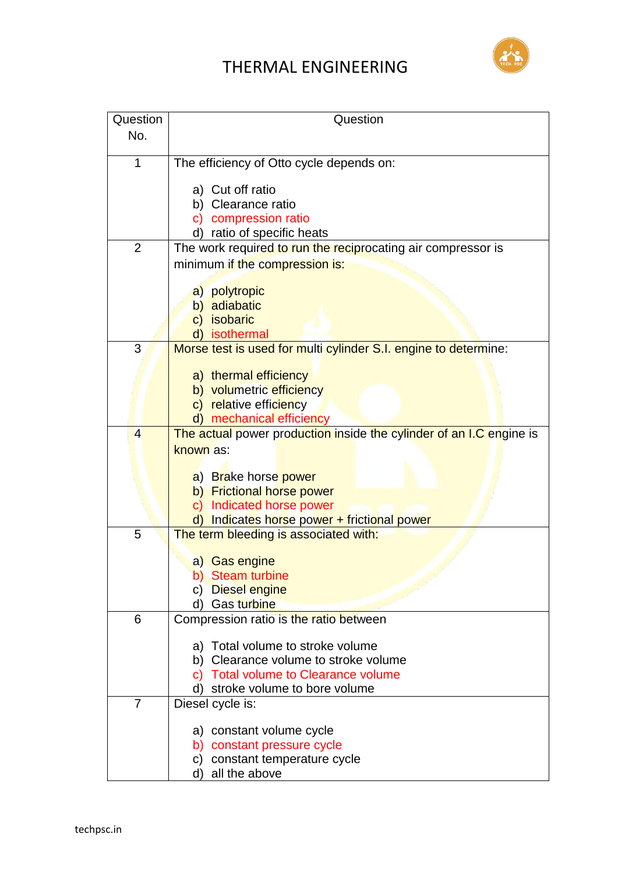## THERMAL ENGINEERING



| Question       | Question                                                                                   |
|----------------|--------------------------------------------------------------------------------------------|
| No.            |                                                                                            |
|                |                                                                                            |
| 1              | The efficiency of Otto cycle depends on:                                                   |
|                |                                                                                            |
|                | a) Cut off ratio                                                                           |
|                | b) Clearance ratio                                                                         |
|                | c) compression ratio                                                                       |
| 2              | d) ratio of specific heats<br>The work required to run the reciprocating air compressor is |
|                |                                                                                            |
|                | minimum if the compression is:                                                             |
|                | a) polytropic                                                                              |
|                | b) adiabatic                                                                               |
|                | c) isobaric                                                                                |
|                | d) isothermal                                                                              |
| 3              | Morse test is used for multi cylinder S.I. engine to determine:                            |
|                |                                                                                            |
|                | a) thermal efficiency                                                                      |
|                | b) volumetric efficiency                                                                   |
|                | c) relative efficiency                                                                     |
|                | mechanical efficiency                                                                      |
| $\overline{4}$ | The actual power production inside the cylinder of an I.C engine is                        |
|                | known as:                                                                                  |
|                | a) Brake horse power                                                                       |
|                | b) Frictional horse power                                                                  |
|                | c) Indicated horse power                                                                   |
|                | d) Indicates horse power + frictional power                                                |
| 5              | The term bleeding is associated with:                                                      |
|                |                                                                                            |
|                | a) Gas engine                                                                              |
|                | b) Steam turbine                                                                           |
|                | c) Diesel engine                                                                           |
|                | d) Gas turbine                                                                             |
| 6              | Compression ratio is the ratio between                                                     |
|                | a) Total volume to stroke volume                                                           |
|                | b) Clearance volume to stroke volume                                                       |
|                | <b>Total volume to Clearance volume</b><br>C).                                             |
|                | d) stroke volume to bore volume                                                            |
| $\overline{7}$ | Diesel cycle is:                                                                           |
|                |                                                                                            |
|                | a) constant volume cycle                                                                   |
|                | b) constant pressure cycle                                                                 |
|                | c) constant temperature cycle                                                              |
|                | all the above<br>d)                                                                        |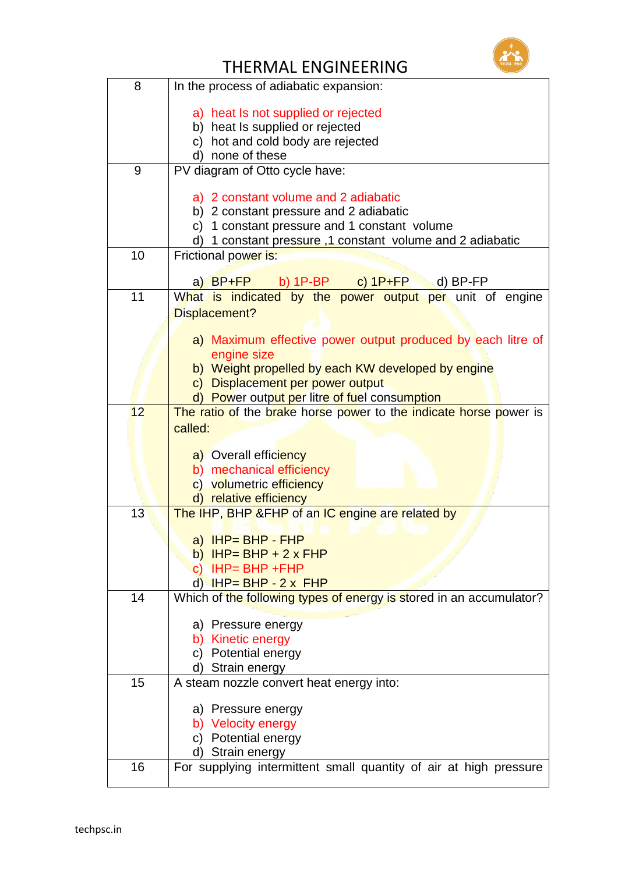

## THERMAL ENGINEERING

| 8  | In the process of adiabatic expansion:                                     |
|----|----------------------------------------------------------------------------|
|    |                                                                            |
|    | a) heat Is not supplied or rejected<br>b) heat Is supplied or rejected     |
|    | c) hot and cold body are rejected                                          |
|    | d) none of these                                                           |
| 9  | PV diagram of Otto cycle have:                                             |
|    |                                                                            |
|    | a) 2 constant volume and 2 adiabatic                                       |
|    | b) 2 constant pressure and 2 adiabatic                                     |
|    | c) 1 constant pressure and 1 constant volume                               |
|    | 1 constant pressure, 1 constant volume and 2 adiabatic                     |
| 10 | Frictional power is:                                                       |
|    | a) BP+FP<br>b) $1P-BP$ c) $1P+FP$<br>$(d)$ BP-FP                           |
| 11 | What is indicated by the power output per unit of engine                   |
|    | Displacement?                                                              |
|    |                                                                            |
|    | a) Maximum effective power output produced by each litre of                |
|    | engine size<br>b) Weight propelled by each KW developed by engine          |
|    | c) Displacement per power output                                           |
|    | d) Power output per litre of fuel consumption                              |
| 12 | The ratio of the brake horse power to the indicate horse power is          |
|    | called:                                                                    |
|    |                                                                            |
|    | a) Overall efficiency                                                      |
|    | b) mechanical efficiency                                                   |
|    | c) volumetric efficiency                                                   |
| 13 | d) relative efficiency<br>The IHP, BHP &FHP of an IC engine are related by |
|    |                                                                            |
|    | a) $H P = B H P - F H P$                                                   |
|    | b) IHP= BHP + $2 \times$ FHP                                               |
|    | c) $IHP = BHP + FHP$                                                       |
|    | $d$ $HP = BHP - 2x$ FHP                                                    |
| 14 | Which of the following types of energy is stored in an accumulator?        |
|    | a) Pressure energy                                                         |
|    | b) Kinetic energy                                                          |
|    | c) Potential energy                                                        |
|    | d) Strain energy                                                           |
| 15 | A steam nozzle convert heat energy into:                                   |
|    |                                                                            |
|    | a) Pressure energy                                                         |
|    | b) Velocity energy<br>c) Potential energy                                  |
|    | d) Strain energy                                                           |
| 16 | For supplying intermittent small quantity of air at high pressure          |
|    |                                                                            |